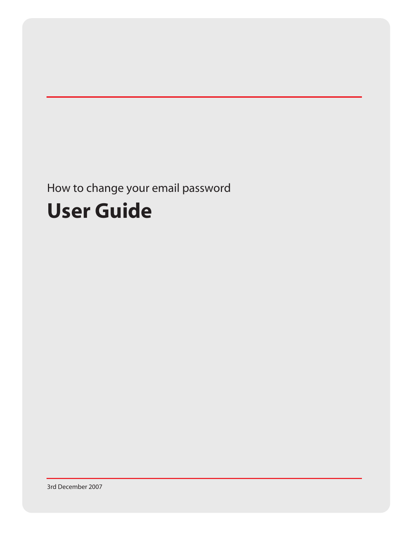# How to change your email password

# **User Guide**

3rd December 2007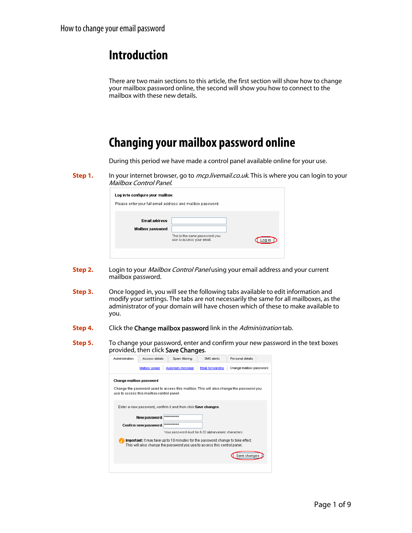#### **Introduction**

There are two main sections to this article, the first section will show how to change your mailbox password online, the second will show you how to connect to the mailbox with these new details.

# **Changing your mailbox password online**

During this period we have made a control panel available online for your use.

**Step 1.** In your internet browser, go to *mcp.livemail.co.uk*. This is where you can login to your Mailbox Control Panel.

| Log in to configure your mailbox                           |                                                            |       |
|------------------------------------------------------------|------------------------------------------------------------|-------|
| Please enter your full email address and mailbox password. |                                                            |       |
| <b>Fmail address</b><br>Mailbox password                   | This is the same password you<br>use to access your email. | Loa i |
|                                                            |                                                            |       |

- **Step 2.** Login to your *Mailbox Control Panel* using your email address and your current mailbox password.
- **Step 3.** Once logged in, you will see the following tabs available to edit information and modify your settings. The tabs are not necessarily the same for all mailboxes, as the administrator of your domain will have chosen which of these to make available to you.
- **Step 4.** Click the **Change mailbox password** link in the *Administration* tab.
- **Step 5.** To change your password, enter and confirm your new password in the text boxes provided, then click Save Changes.

| Administration | Access details                            | Sparn filtering                                                                                                                                             | SMS alerts              | Personal details                                                                        |
|----------------|-------------------------------------------|-------------------------------------------------------------------------------------------------------------------------------------------------------------|-------------------------|-----------------------------------------------------------------------------------------|
|                | Mailbox usage                             | Autoreply message                                                                                                                                           | <b>Email forwarding</b> | Change mailbox password                                                                 |
|                | Change mailbox password                   |                                                                                                                                                             |                         |                                                                                         |
|                |                                           |                                                                                                                                                             |                         | Change the password used to access this mailbox. This will also change the password you |
|                | use to access this mailbox control panel. |                                                                                                                                                             |                         |                                                                                         |
|                |                                           | Enter a new password, confirm it and then click Save changes.                                                                                               |                         |                                                                                         |
|                |                                           |                                                                                                                                                             |                         |                                                                                         |
|                | New password:                             |                                                                                                                                                             |                         |                                                                                         |
|                | Confirm new password:                     | **********                                                                                                                                                  |                         |                                                                                         |
|                |                                           | Your password must be 6-32 alphanumeric characters.                                                                                                         |                         |                                                                                         |
|                |                                           | Important: It may take up to 10 minutes for the password change to take effect.<br>This will also change the password you use to access this control panel. |                         |                                                                                         |
|                |                                           |                                                                                                                                                             |                         |                                                                                         |
|                |                                           |                                                                                                                                                             |                         | Save changes                                                                            |
|                |                                           |                                                                                                                                                             |                         |                                                                                         |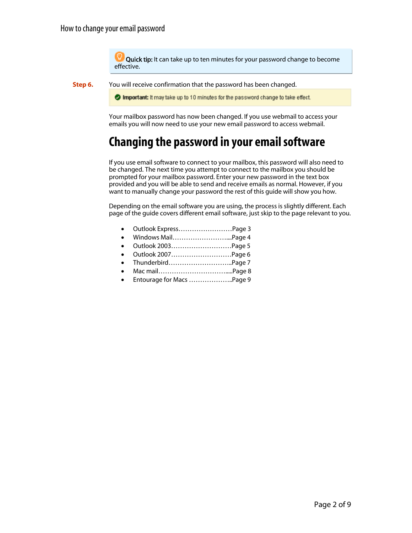Quick tip: It can take up to ten minutes for your password change to become effective.

**Step 6.** You will receive confirmation that the password has been changed.

Important: It may take up to 10 minutes for the password change to take effect.

Your mailbox password has now been changed. If you use webmail to access your emails you will now need to use your new email password to access webmail.

### **Changing the password in your email software**

If you use email software to connect to your mailbox, this password will also need to be changed. The next time you attempt to connect to the mailbox you should be prompted for your mailbox password. Enter your new password in the text box provided and you will be able to send and receive emails as normal. However, if you want to manually change your password the rest of this guide will show you how.

Depending on the email software you are using, the process is slightly different. Each page of the guide covers different email software, just skip to the page relevant to you.

- [Outlook Express……………………Page 3](#page-3-0)
- [Windows Mail……………………....Page 4](#page-4-0)
- [Outlook 2003………………………Page 5](#page-5-0)
- [Outlook 2007………………………Page 6](#page-6-0)
- [Thunderbird………………………..Page 7](#page-7-0)  • [Mac mail………………………….....Page 8](#page-8-0)
- [Entourage for Macs ………………..Page 9](#page-9-0)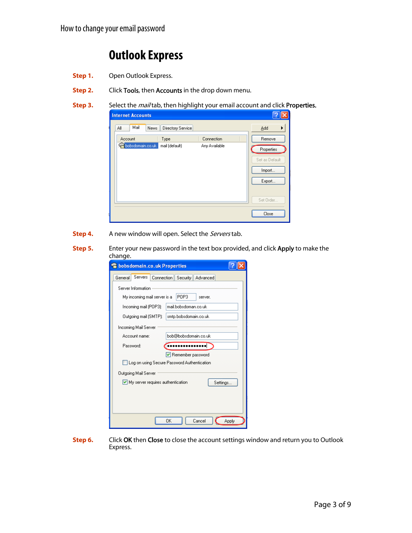# **Outlook Express**

- <span id="page-3-0"></span>**Step 1.** Open Outlook Express.
- **Step 2.** Click Tools, then **Accounts** in the drop down menu.
- **Step 3.** Select the *mail* tab, then highlight your email account and click Properties.



- **Step 4.** A new window will open. Select the *Servers* tab.
- **Step 5.** Enter your new password in the text box provided, and click Apply to make the change.

| bobsdomain.co.uk Properties                           |
|-------------------------------------------------------|
| Servers<br>General<br>Connection<br>Security Advanced |
| Server Information                                    |
| POP3<br>My incoming mail server is a<br>server.       |
| mail.bobsdoman.co.uk<br>Incoming mail (POP3):         |
| smtp.bobsdomain.co.uk<br>Outgoing mail (SMTP):        |
| Incoming Mail Server                                  |
| bob@bobsdomain.co.uk<br>Account name:                 |
| Password:<br>.                                        |
| Remember password                                     |
| Log on using Secure Password Authentication           |
| Outgoing Mail Server                                  |
| $\vee$ My server requires authentication<br>Settings  |
|                                                       |
|                                                       |
|                                                       |
| OK<br>Cancel<br>Apply                                 |

**Step 6.** Click OK then Close to close the account settings window and return you to Outlook Express.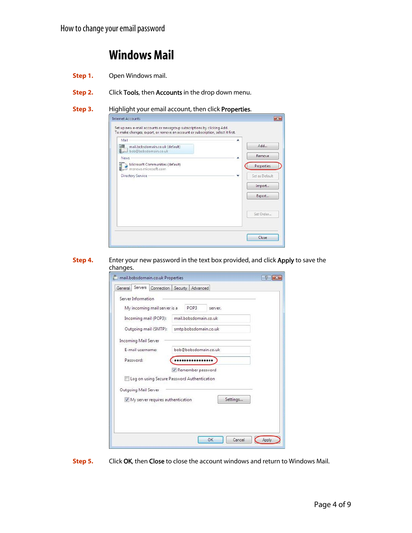### **Windows Mail**

- <span id="page-4-0"></span>**Step 1.** Open Windows mail.
- **Step 2.** Click Tools, then Accounts in the drop down menu.
- **Step 3.** Highlight your email account, then click Properties.



**Step 4.** Enter your new password in the text box provided, and click Apply to save the changes.

| General | Servers              | mail.bobsdomain.co.uk Properties<br>Connection | Security | Advanced              |         |          |  |       |
|---------|----------------------|------------------------------------------------|----------|-----------------------|---------|----------|--|-------|
|         | Server Information   |                                                |          |                       |         |          |  |       |
|         |                      | My incoming mail server is a                   |          | POP3                  | server. |          |  |       |
|         |                      | Incoming mail (POP3):                          |          | mail.bobsdomain.co.uk |         |          |  |       |
|         |                      | Outgoing mail (SMTP):                          |          | smtp.bobsdomain.co.uk |         |          |  |       |
|         | Incoming Mail Server |                                                |          |                       |         |          |  |       |
|         | E-mail username:     |                                                |          | bob@bobsdomain.co.uk  |         |          |  |       |
|         | Password:            |                                                |          |                       |         |          |  |       |
|         |                      |                                                |          | Remember password     |         |          |  |       |
|         |                      | Log on using Secure Password Authentication    |          |                       |         |          |  |       |
|         | Outgoing Mail Server |                                                |          |                       |         |          |  |       |
|         |                      | V My server requires authentication            |          |                       |         | Settings |  |       |
|         |                      |                                                |          |                       |         |          |  |       |
|         |                      |                                                |          |                       |         |          |  |       |
|         |                      |                                                |          |                       |         |          |  |       |
|         |                      |                                                |          |                       | OK      | Cancel   |  | Apply |

**Step 5.** Click OK, then Close to close the account windows and return to Windows Mail.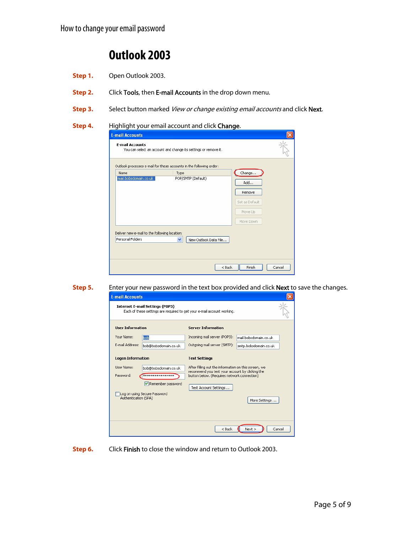# **Outlook 2003**

- <span id="page-5-0"></span>**Step 1.** Open Outlook 2003.
- **Step 2.** Click Tools, then E-mail Accounts in the drop down menu.
- **Step 3.** Select button marked View or change existing email accounts and click Next.

#### **Step 4.** Highlight your email account and click Change.

|                                                                   | Outlook processes e-mail for these accounts in the following order: |                                                                   |
|-------------------------------------------------------------------|---------------------------------------------------------------------|-------------------------------------------------------------------|
| Name<br>mail.bobsdomain.co.uk                                     | Type<br>POP/SMTP (Default)                                          | Change<br>Add<br>Remove<br>Set as Default<br>Move Up<br>Move Down |
| Deliver new e-mail to the following location:<br>Personal Folders | v.<br>New Outlook Data File                                         |                                                                   |

**Step 5.** Enter your new password in the text box provided and click **Next** to save the changes.

| <b>E-mail Accounts</b>   |                                        |                                                                                                         |                       |        |
|--------------------------|----------------------------------------|---------------------------------------------------------------------------------------------------------|-----------------------|--------|
|                          | <b>Internet E-mail Settings (POP3)</b> | Each of these settings are required to get your e-mail account working.                                 |                       |        |
| <b>Hser Information</b>  |                                        | <b>Server Information</b>                                                                               |                       |        |
| Your Name:               | bob                                    | Incoming mail server (POP3):                                                                            | mail.hobsdomain.co.uk |        |
| E-mail Address:          | bob@bobsdomain.co.uk                   | Outgoing mail server (SMTP);                                                                            | smtp.bobsdomain.co.uk |        |
| <b>Logon Information</b> |                                        | <b>Test Settings</b>                                                                                    |                       |        |
| User Name:               | bob@bobsdomain.co.uk                   | After filling out the information on this screen, we<br>recommend you test your account by clicking the |                       |        |
| Password:                | ****************                       | button below. (Requires network connection)                                                             |                       |        |
|                          | Remember password                      | Test Account Settings                                                                                   |                       |        |
| Authentication (SPA)     | Log on using Secure Password           |                                                                                                         | More Settings         |        |
|                          |                                        | $<$ Back                                                                                                | Next                  | Cancel |

**Step 6.** Click Finish to close the window and return to Outlook 2003.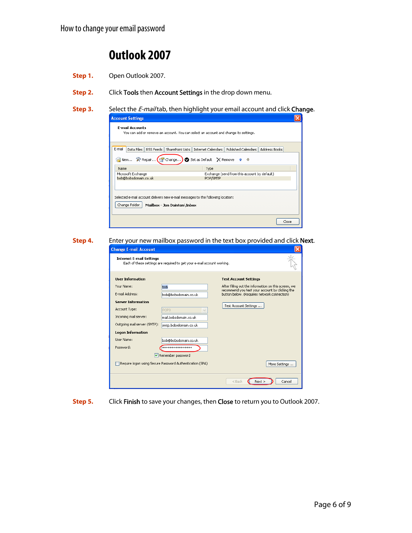# **Outlook 2007**

- <span id="page-6-0"></span>**Step 1.** Open Outlook 2007.
- **Step 2.** Click Tools then Account Settings in the drop down menu.
- **Step 3.** Select the *E-mail* tab, then highlight your email account and click **Change**.



**Step 4.** Enter your new mailbox password in the text box provided and click Next.

| <b>Change E-mail Account</b>    |                                                                         |                                                                                                |
|---------------------------------|-------------------------------------------------------------------------|------------------------------------------------------------------------------------------------|
| <b>Internet E-mail Settings</b> | Each of these settings are required to get your e-mail account working. |                                                                                                |
| <b>User Information</b>         |                                                                         | <b>Test Account Settings</b>                                                                   |
| Your Name:                      | bob                                                                     | After filling out the information on this screen, we                                           |
| E-mail Address:                 | bob@bobsdomain.co.uk                                                    | recommend you test your account by clicking the<br>button below. (Requires network connection) |
| <b>Server Information</b>       |                                                                         |                                                                                                |
| Account Type:                   | POP3                                                                    | Test Account Settings                                                                          |
| Incoming mail server:           | mail.bobsdomain.co.uk                                                   |                                                                                                |
| Outgoing mail server (SMTP):    | smtp.bobsdomain.co.uk                                                   |                                                                                                |
| <b>Logon Information</b>        |                                                                         |                                                                                                |
| User Name:                      | bob@bobsdomain.co.uk                                                    |                                                                                                |
| Password:                       | ****************                                                        |                                                                                                |
|                                 | Remember password                                                       |                                                                                                |
|                                 | Require logon using Secure Password Authentication (SPA)                | More Settings                                                                                  |
|                                 |                                                                         | $<$ Back<br>Next<br>Cancel                                                                     |

**Step 5.** Click Finish to save your changes, then Close to return you to Outlook 2007.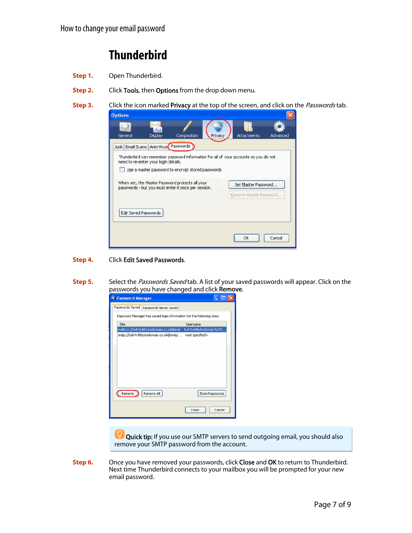# **Thunderbird**

- <span id="page-7-0"></span>**Step 1.** Open Thunderbird.
- **Step 2.** Click Tools, then Options from the drop down menu.
- **Step 3.** Click the icon marked **Privacy** at the top of the screen, and click on the *Passwords* tab.

| <b>Options</b>                                                                                                                                                                                                             |               |             |         |    |                                               |          |
|----------------------------------------------------------------------------------------------------------------------------------------------------------------------------------------------------------------------------|---------------|-------------|---------|----|-----------------------------------------------|----------|
| General                                                                                                                                                                                                                    | 47<br>Display | Composition | Privacy |    | Attachments                                   | Advanced |
| Junk Email Scams Anti-Virus Passwords<br>Thunderbird can remember password information for all of your accounts so you do not<br>need to re-enter your login details.<br>Use a master password to entrypt stored passwords |               |             |         |    |                                               |          |
| When set, the Master Password protects all your<br>passwords - but you must enter it once per session.                                                                                                                     |               |             |         |    | Set Master Password<br>Remove Master Password |          |
| Edit Saved Passwords                                                                                                                                                                                                       |               |             |         |    |                                               |          |
|                                                                                                                                                                                                                            |               |             |         | ОΚ |                                               | Cancel   |

#### **Step 4.** Click Edit Saved Passwords.

**Step 5.** Select the *Passwords Saved* tab. A list of your saved passwords will appear. Click on the passwords you have changed and click Remove.



IÇ, Quick tip: If you use our SMTP servers to send outgoing email, you should also remove your SMTP password from the account.

**Step 6.** Once you have removed your passwords, click Close and OK to return to Thunderbird. Next time Thunderbird connects to your mailbox you will be prompted for your new email password.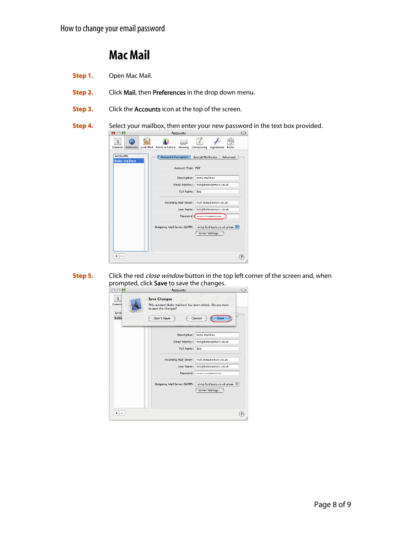#### **Mac Mail**

- <span id="page-8-0"></span>**Step 1.** Open Mac Mail.
- **Step 2.** Click Mail, then Preferences in the drop down menu.
- **Step 3.** Click the **Accounts** icon at the top of the screen.
- **Step 4.** Select your mailbox, then enter your new password in the text box provided.



**Step 5.** prompted, click **Save** to save the changes.<br>  $\bigcirc \bigcirc \bigcirc$ Click the red *close window* button in the top left corner of the screen and, when